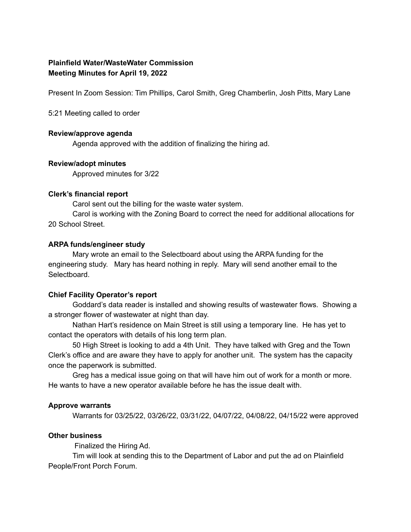# **Plainfield Water/WasteWater Commission Meeting Minutes for April 19, 2022**

Present In Zoom Session: Tim Phillips, Carol Smith, Greg Chamberlin, Josh Pitts, Mary Lane

5:21 Meeting called to order

### **Review/approve agenda**

Agenda approved with the addition of finalizing the hiring ad.

### **Review/adopt minutes**

Approved minutes for 3/22

## **Clerk's financial report**

Carol sent out the billing for the waste water system.

Carol is working with the Zoning Board to correct the need for additional allocations for 20 School Street.

### **ARPA funds/engineer study**

Mary wrote an email to the Selectboard about using the ARPA funding for the engineering study. Mary has heard nothing in reply. Mary will send another email to the Selectboard.

## **Chief Facility Operator's report**

Goddard's data reader is installed and showing results of wastewater flows. Showing a a stronger flower of wastewater at night than day.

Nathan Hart's residence on Main Street is still using a temporary line. He has yet to contact the operators with details of his long term plan.

50 High Street is looking to add a 4th Unit. They have talked with Greg and the Town Clerk's office and are aware they have to apply for another unit. The system has the capacity once the paperwork is submitted.

Greg has a medical issue going on that will have him out of work for a month or more. He wants to have a new operator available before he has the issue dealt with.

## **Approve warrants**

Warrants for 03/25/22, 03/26/22, 03/31/22, 04/07/22, 04/08/22, 04/15/22 were approved

## **Other business**

Finalized the Hiring Ad.

Tim will look at sending this to the Department of Labor and put the ad on Plainfield People/Front Porch Forum.